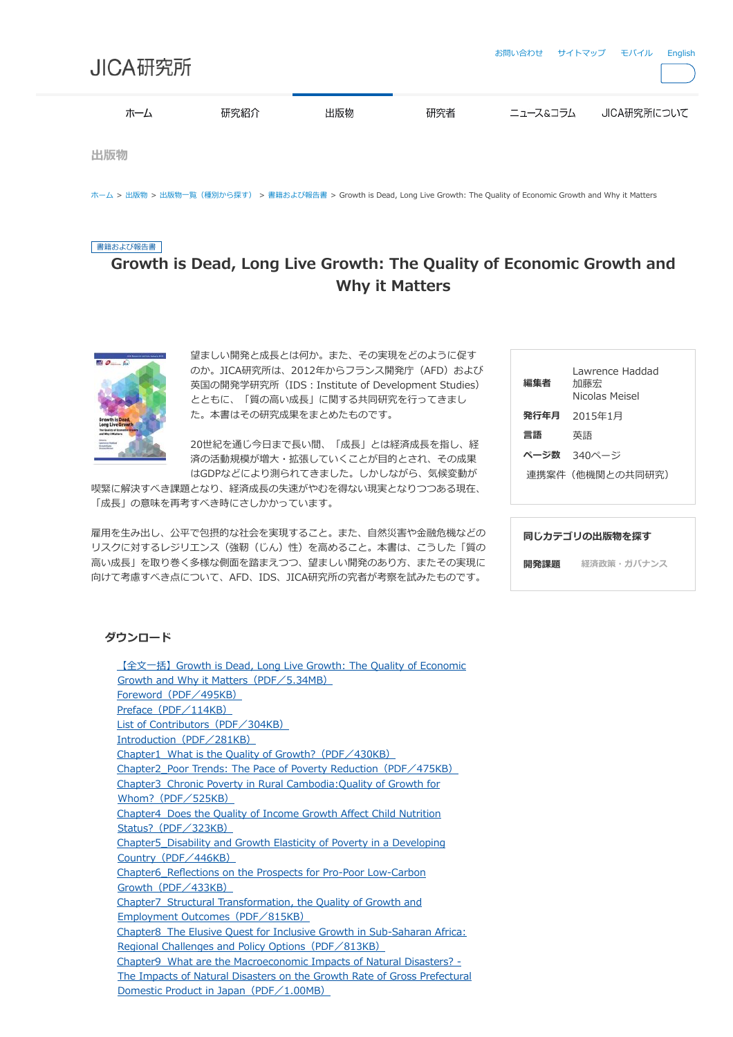| JICA研究所 |      |     |     | お問い合わせ サイトマップ モバイル |             | English |
|---------|------|-----|-----|--------------------|-------------|---------|
| ホーム     | 研究紹介 | 出版物 | 研究者 | ニュース&コラム           | JICA研究所について |         |
| 出版物     |      |     |     |                    |             |         |

[ホーム](https://www.jica.go.jp/jica-ri/ja/index.html) > [出版物](https://www.jica.go.jp/jica-ri/ja/publication/index.html) > [出版物一覧\(種別から探す\)](https://www.jica.go.jp/jica-ri/ja/publication/lists.html) > [書籍および報告書](https://www.jica.go.jp/jica-ri/ja/publication/booksandreports/index.html) > Growth is Dead, Long Live Growth: The Quality of Economic Growth and Why it Matters

## 書籍および報告書

## Growth is Dead, Long Live Growth: The Quality of Economic Growth and Why it Matters



望ましい開発と成長とは何か。また、その実現をどのように促す のか。JICA研究所は、2012年からフランス開発庁 (AFD) および 英国の開発学研究所 (IDS: Institute of Development Studies) とともに、「質の高い成長」に関する共同研究を行ってきまし た。本書はその研究成果をまとめたものです。

20世紀を通じ今日まで長い間、「成長」とは経済成長を指し、経 済の活動規模が増大・拡張していくことが目的とされ、その成果 はGDPなどにより測られてきました。しかしながら、気候変動が

喫緊に解決すべき課題となり、経済成長の失速がやむを得ない現実となりつつある現在、 「成長」の意味を再考すべき時にさしかかっています。

雇用を生み出し、公平で包摂的な社会を実現すること。また、自然災害や金融危機などの リスクに対するレジリエンス(強靭(じん)性)を高めること。本書は、こうした「質の 高い成長」を取り巻く多様な側面を踏まえつつ、望ましい開発のあり方、またその実現に 向けて考慮すべき点について、AFD、IDS、JICA研究所の究者が考察を試みたものです。

| 編集者  | Lawrence Haddad<br>加藤宏<br>Nicolas Meisel |
|------|------------------------------------------|
| 発行年月 | 2015年1月                                  |
| 言語   | 英語                                       |
|      | ページ数 340ページ                              |
|      | 連携案件(他機関との共同研究)                          |
|      |                                          |

| 同じカテゴリの出版物を探す |            |  |  |  |  |
|---------------|------------|--|--|--|--|
| 開発課題          | 経済政策・ガバナンス |  |  |  |  |

## ダウンロード

| $\sqrt{2}$ $\pm$ $\pm$ 3 Growth is Dead, Long Live Growth: The Quality of Economic |
|------------------------------------------------------------------------------------|
| Growth and Why it Matters (PDF/5.34MB)                                             |
| Foreword (PDF/495KB)                                                               |
| Preface $(PDF / 114KB)$                                                            |
| List of Contributors (PDF/304KB)                                                   |
| Introduction $(PDF \angle 281KB)$                                                  |
| <u>Chapter1 What is the Quality of Growth? (PDF/430KB)</u>                         |
| <u>Chapter2 Poor Trends: The Pace of Poverty Reduction (PDF/475KB)</u>             |
| Chapter3 Chronic Poverty in Rural Cambodia: Quality of Growth for                  |
| Whom? $(PDF/525KB)$                                                                |
| <b>Chapter4</b> Does the Quality of Income Growth Affect Child Nutrition           |
| Status? $(PDF \diagup 323KB)$                                                      |
| Chapter5 Disability and Growth Elasticity of Poverty in a Developing               |
| Country $(PDF/446KB)$                                                              |
| <b>Chapter6</b> Reflections on the Prospects for Pro-Poor Low-Carbon               |
| Growth $(PDF \angle 433KB)$                                                        |
| <b>Chapter7</b> Structural Transformation, the Quality of Growth and               |
| Employment Outcomes (PDF/815KB)                                                    |
| Chapter8 The Elusive Quest for Inclusive Growth in Sub-Saharan Africa:             |
| Regional Challenges and Policy Options (PDF/813KB)                                 |
| Chapter9 What are the Macroeconomic Impacts of Natural Disasters? -                |
| The Impacts of Natural Disasters on the Growth Rate of Gross Prefectural           |
| Domestic Product in Japan (PDF/1.00MB)                                             |